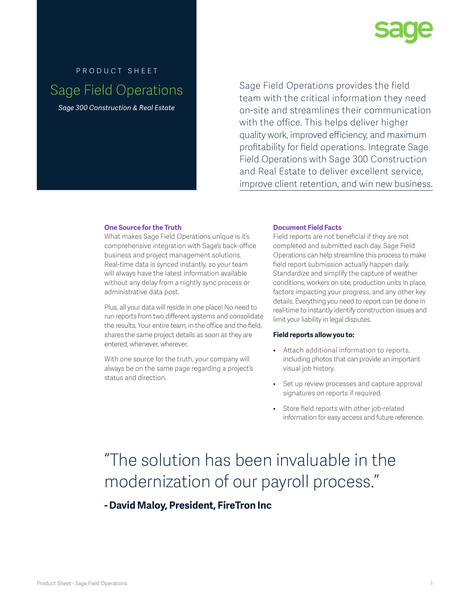

# product sheet Sage Field Operations

*Sage 300 Construction & Real Estate*

Sage Field Operations provides the field team with the critical information they need on-site and streamlines their communication with the office. This helps deliver higher quality work, improved efficiency, and maximum profitability for field operations. Integrate Sage Field Operations with Sage 300 Construction and Real Estate to deliver excellent service, improve client retention, and win new business.

## **One Source for the Truth**

What makes Sage Field Operations unique is it's comprehensive integration with Sage's back-office business and project management solutions. Real-time data is synced instantly, so your team will always have the latest information available without any delay from a nightly sync process or administrative data post.

Plus, all your data will reside in one place! No need to run reports from two different systems and consolidate the results. Your entire team, in the office and the field, shares the same project details as soon as they are entered, whenever, wherever.

With one source for the truth, your company will always be on the same page regarding a project's status and direction.

## **Document Field Facts**

Field reports are not beneficial if they are not completed and submitted each day. Sage Field Operations can help streamline this process to make field report submission actually happen daily. Standardize and simplify the capture of weather conditions, workers on site, production units in place, factors impacting your progress, and any other key details. Everything you need to report can be done in real-time to instantly identify construction issues and limit your liability in legal disputes.

### **Field reports allow you to:**

- Attach additional information to reports, including photos that can provide an important visual job history.
- Set up review processes and capture approval signatures on reports if required.
- Store field reports with other job-related information for easy access and future reference.

# "The solution has been invaluable in the modernization of our payroll process."

**- David Maloy, President, FireTron Inc**